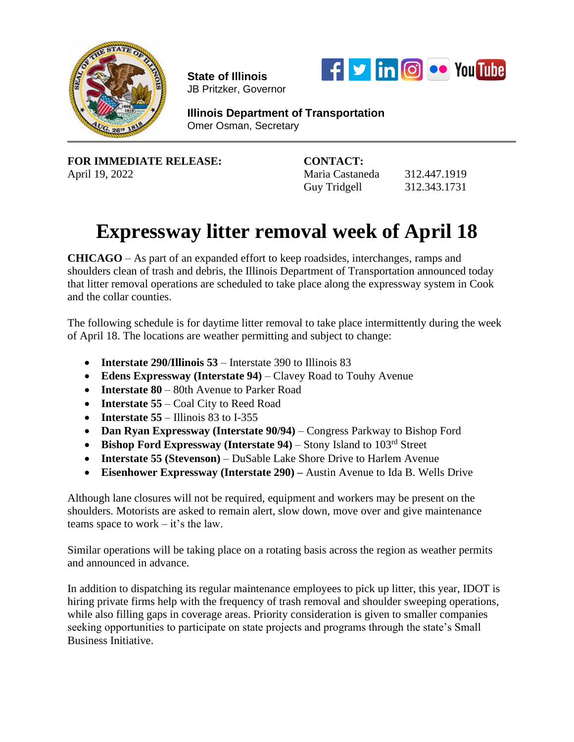

**State of Illinois**  JB Pritzker, Governor



**Illinois Department of Transportation** Omer Osman, Secretary

**FOR IMMEDIATE RELEASE: CONTACT:** April 19, 2022 Maria Castaneda 312.447.1919

Guy Tridgell 312.343.1731

## **Expressway litter removal week of April 18**

**CHICAGO** – As part of an expanded effort to keep roadsides, interchanges, ramps and shoulders clean of trash and debris, the Illinois Department of Transportation announced today that litter removal operations are scheduled to take place along the expressway system in Cook and the collar counties.

The following schedule is for daytime litter removal to take place intermittently during the week of April 18. The locations are weather permitting and subject to change:

- **Interstate 290/Illinois 53** Interstate 390 to Illinois 83
- **Edens Expressway (Interstate 94)** Clavey Road to Touhy Avenue
- **Interstate 80** 80th Avenue to Parker Road
- **Interstate 55** Coal City to Reed Road
- **Interstate**  $55 1$ **llinois 83 to I-355**
- **Dan Ryan Expressway (Interstate 90/94)** Congress Parkway to Bishop Ford
- **Bishop Ford Expressway (Interstate 94)** Stony Island to 103rd Street
- **Interstate 55 (Stevenson)** DuSable Lake Shore Drive to Harlem Avenue
- **Eisenhower Expressway (Interstate 290) –** Austin Avenue to Ida B. Wells Drive

Although lane closures will not be required, equipment and workers may be present on the shoulders. Motorists are asked to remain alert, slow down, move over and give maintenance teams space to work – it's the law.

Similar operations will be taking place on a rotating basis across the region as weather permits and announced in advance.

In addition to dispatching its regular maintenance employees to pick up litter, this year, IDOT is hiring private firms help with the frequency of trash removal and shoulder sweeping operations, while also filling gaps in coverage areas. Priority consideration is given to smaller companies seeking opportunities to participate on state projects and programs through the state's Small Business Initiative.